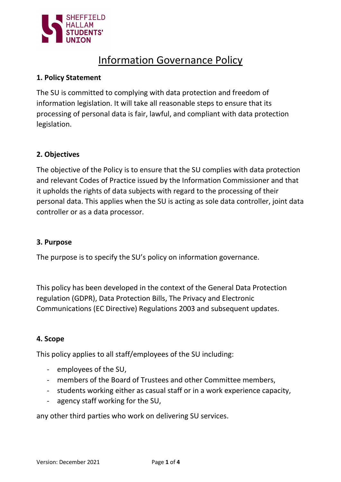

# Information Governance Policy

#### 1. Policy Statement

The SU is committed to complying with data protection and freedom of information legislation. It will take all reasonable steps to ensure that its processing of personal data is fair, lawful, and compliant with data protection legislation.

## 2. Objectives

The objective of the Policy is to ensure that the SU complies with data protection and relevant Codes of Practice issued by the Information Commissioner and that it upholds the rights of data subjects with regard to the processing of their personal data. This applies when the SU is acting as sole data controller, joint data controller or as a data processor.

#### 3. Purpose

The purpose is to specify the SU's policy on information governance.

This policy has been developed in the context of the General Data Protection regulation (GDPR), Data Protection Bills, The Privacy and Electronic Communications (EC Directive) Regulations 2003 and subsequent updates.

#### 4. Scope

This policy applies to all staff/employees of the SU including:

- employees of the SU,
- members of the Board of Trustees and other Committee members,
- students working either as casual staff or in a work experience capacity,
- agency staff working for the SU,

any other third parties who work on delivering SU services.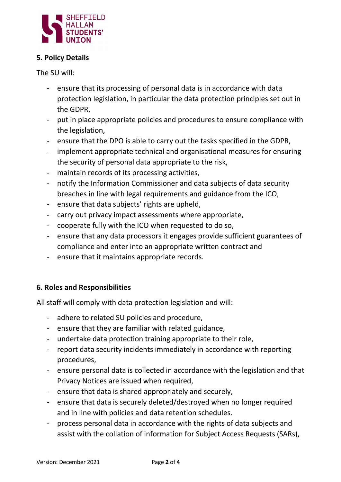

## 5. Policy Details

The SU will:

- ensure that its processing of personal data is in accordance with data protection legislation, in particular the data protection principles set out in the GDPR,
- put in place appropriate policies and procedures to ensure compliance with the legislation,
- ensure that the DPO is able to carry out the tasks specified in the GDPR,
- implement appropriate technical and organisational measures for ensuring the security of personal data appropriate to the risk,
- maintain records of its processing activities,
- notify the Information Commissioner and data subjects of data security breaches in line with legal requirements and guidance from the ICO,
- ensure that data subjects' rights are upheld,
- carry out privacy impact assessments where appropriate,
- cooperate fully with the ICO when requested to do so,
- ensure that any data processors it engages provide sufficient guarantees of compliance and enter into an appropriate written contract and
- ensure that it maintains appropriate records.

# 6. Roles and Responsibilities

All staff will comply with data protection legislation and will:

- adhere to related SU policies and procedure,
- ensure that they are familiar with related guidance,
- undertake data protection training appropriate to their role,
- report data security incidents immediately in accordance with reporting procedures,
- ensure personal data is collected in accordance with the legislation and that Privacy Notices are issued when required,
- ensure that data is shared appropriately and securely,
- ensure that data is securely deleted/destroyed when no longer required and in line with policies and data retention schedules.
- process personal data in accordance with the rights of data subjects and assist with the collation of information for Subject Access Requests (SARs),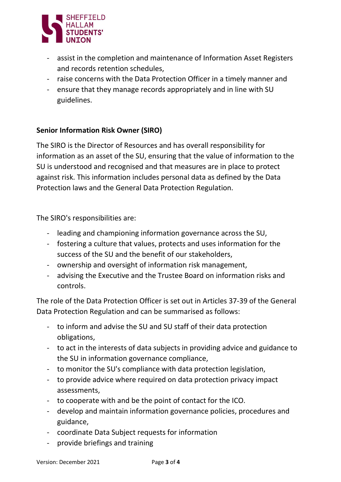

- assist in the completion and maintenance of Information Asset Registers and records retention schedules,
- raise concerns with the Data Protection Officer in a timely manner and
- ensure that they manage records appropriately and in line with SU guidelines.

## Senior Information Risk Owner (SIRO)

The SIRO is the Director of Resources and has overall responsibility for information as an asset of the SU, ensuring that the value of information to the SU is understood and recognised and that measures are in place to protect against risk. This information includes personal data as defined by the Data Protection laws and the General Data Protection Regulation.

The SIRO's responsibilities are:

- leading and championing information governance across the SU,
- fostering a culture that values, protects and uses information for the success of the SU and the benefit of our stakeholders,
- ownership and oversight of information risk management,
- advising the Executive and the Trustee Board on information risks and controls.

The role of the Data Protection Officer is set out in Articles 37-39 of the General Data Protection Regulation and can be summarised as follows:

- to inform and advise the SU and SU staff of their data protection obligations,
- to act in the interests of data subjects in providing advice and guidance to the SU in information governance compliance,
- to monitor the SU's compliance with data protection legislation,
- to provide advice where required on data protection privacy impact assessments,
- to cooperate with and be the point of contact for the ICO.
- develop and maintain information governance policies, procedures and guidance,
- coordinate Data Subject requests for information
- provide briefings and training